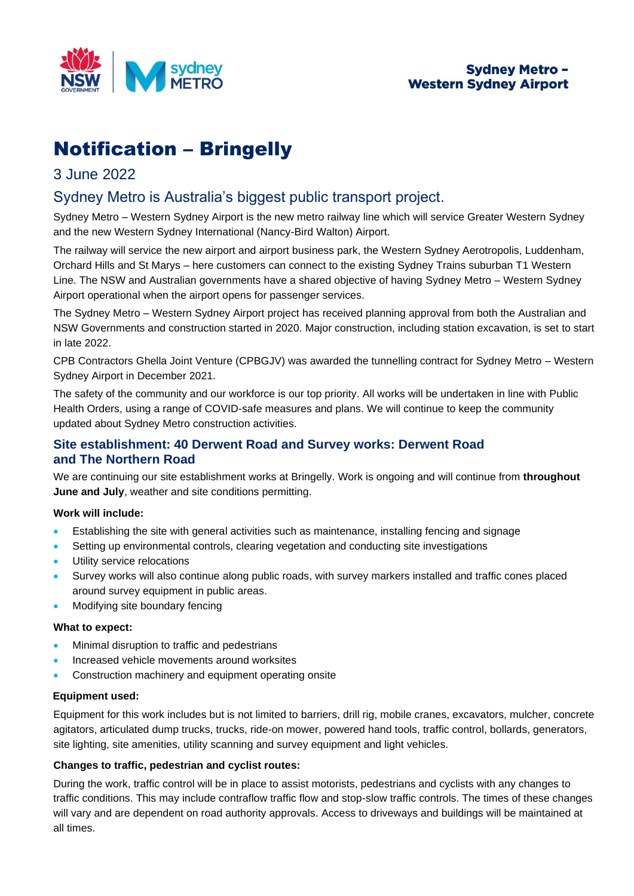

# Notification – Bringelly

## 3 June 2022

# Sydney Metro is Australia's biggest public transport project.

Sydney Metro – Western Sydney Airport is the new metro railway line which will service Greater Western Sydney and the new Western Sydney International (Nancy-Bird Walton) Airport.

The railway will service the new airport and airport business park, the Western Sydney Aerotropolis, Luddenham, Orchard Hills and St Marys – here customers can connect to the existing Sydney Trains suburban T1 Western Line. The NSW and Australian governments have a shared objective of having Sydney Metro – Western Sydney Airport operational when the airport opens for passenger services.

The Sydney Metro – Western Sydney Airport project has received planning approval from both the Australian and NSW Governments and construction started in 2020. Major construction, including station excavation, is set to start in late 2022.

CPB Contractors Ghella Joint Venture (CPBGJV) was awarded the tunnelling contract for Sydney Metro – Western Sydney Airport in December 2021.

The safety of the community and our workforce is our top priority. All works will be undertaken in line with Public Health Orders, using a range of COVID-safe measures and plans. We will continue to keep the community updated about Sydney Metro construction activities.

## **Site establishment: 40 Derwent Road and Survey works: Derwent Road and The Northern Road**

We are continuing our site establishment works at Bringelly. Work is ongoing and will continue from **throughout June and July**, weather and site conditions permitting.

#### **Work will include:**

- Establishing the site with general activities such as maintenance, installing fencing and signage
- Setting up environmental controls, clearing vegetation and conducting site investigations
- Utility service relocations
- Survey works will also continue along public roads, with survey markers installed and traffic cones placed around survey equipment in public areas.
- Modifying site boundary fencing

#### **What to expect:**

- Minimal disruption to traffic and pedestrians
- Increased vehicle movements around worksites
- Construction machinery and equipment operating onsite

#### **Equipment used:**

Equipment for this work includes but is not limited to barriers, drill rig, mobile cranes, excavators, mulcher, concrete agitators, articulated dump trucks, trucks, ride-on mower, powered hand tools, traffic control, bollards, generators, site lighting, site amenities, utility scanning and survey equipment and light vehicles.

#### **Changes to traffic, pedestrian and cyclist routes:**

During the work, traffic control will be in place to assist motorists, pedestrians and cyclists with any changes to traffic conditions. This may include contraflow traffic flow and stop-slow traffic controls. The times of these changes will vary and are dependent on road authority approvals. Access to driveways and buildings will be maintained at all times.